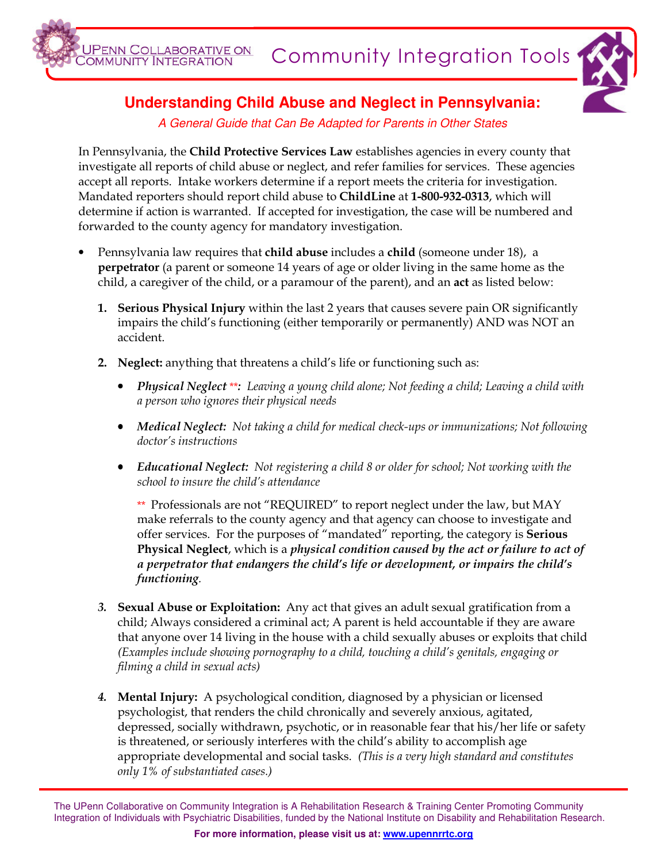



## **Understanding Child Abuse and Neglect in Pennsylvania:**

A General Guide that Can Be Adapted for Parents in Other States

In Pennsylvania, the Child Protective Services Law establishes agencies in every county that investigate all reports of child abuse or neglect, and refer families for services. These agencies accept all reports. Intake workers determine if a report meets the criteria for investigation. Mandated reporters should report child abuse to ChildLine at 1-800-932-0313, which will determine if action is warranted. If accepted for investigation, the case will be numbered and forwarded to the county agency for mandatory investigation.

- Pennsylvania law requires that child abuse includes a child (someone under 18), a perpetrator (a parent or someone 14 years of age or older living in the same home as the child, a caregiver of the child, or a paramour of the parent), and an act as listed below:
	- **1. Serious Physical Injury** within the last 2 years that causes severe pain OR significantly impairs the child's functioning (either temporarily or permanently) AND was NOT an accident.
	- 2. Neglect: anything that threatens a child's life or functioning such as:
		- Physical Neglect \*\*: Leaving a young child alone; Not feeding a child; Leaving a child with a person who ignores their physical needs
		- Medical Neglect: Not taking a child for medical check-ups or immunizations; Not following doctor's instructions
		- Educational Neglect: Not registering a child 8 or older for school; Not working with the school to insure the child's attendance

\*\* Professionals are not "REQUIRED" to report neglect under the law, but MAY make referrals to the county agency and that agency can choose to investigate and offer services. For the purposes of "mandated" reporting, the category is **Serious** Physical Neglect, which is a physical condition caused by the act or failure to act of a perpetrator that endangers the child's life or development, or impairs the child's functioning.

- 3. Sexual Abuse or Exploitation: Any act that gives an adult sexual gratification from a child; Always considered a criminal act; A parent is held accountable if they are aware that anyone over 14 living in the house with a child sexually abuses or exploits that child (Examples include showing pornography to a child, touching a child's genitals, engaging or filming a child in sexual acts)
- **4. Mental Injury:** A psychological condition, diagnosed by a physician or licensed psychologist, that renders the child chronically and severely anxious, agitated, depressed, socially withdrawn, psychotic, or in reasonable fear that his/her life or safety is threatened, or seriously interferes with the child's ability to accomplish age appropriate developmental and social tasks. (This is a very high standard and constitutes only 1% of substantiated cases.)

The UPenn Collaborative on Community Integration is A Rehabilitation Research & Training Center Promoting Community Integration of Individuals with Psychiatric Disabilities, funded by the National Institute on Disability and Rehabilitation Research.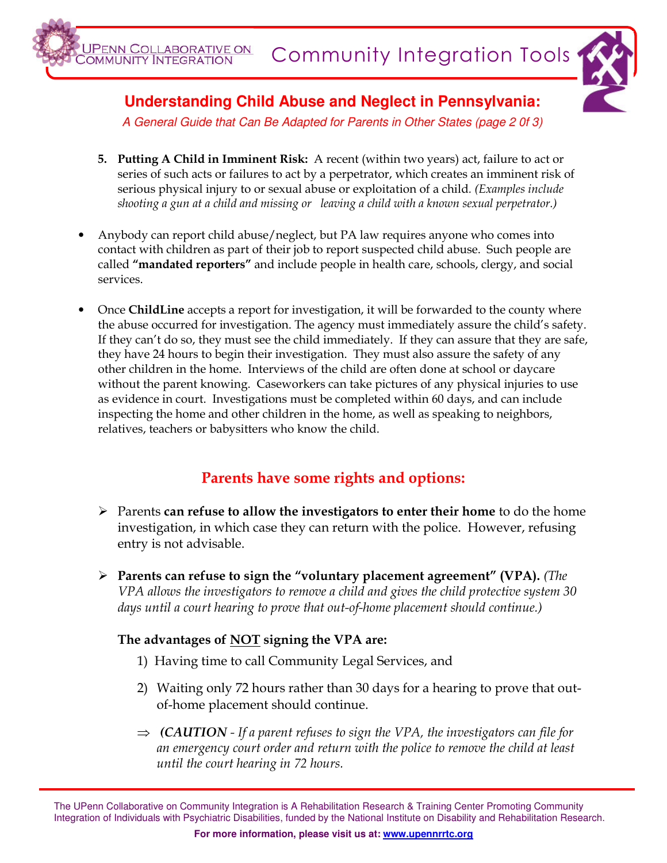

**Understanding Child Abuse and Neglect in Pennsylvania:** 

JPENN COLLABORATIVE ON<br>OMMUNITY INTEGRATION

A General Guide that Can Be Adapted for Parents in Other States (page 2 0f 3)

- 5. Putting A Child in Imminent Risk: A recent (within two years) act, failure to act or series of such acts or failures to act by a perpetrator, which creates an imminent risk of serious physical injury to or sexual abuse or exploitation of a child. (Examples include shooting a gun at a child and missing or leaving a child with a known sexual perpetrator.)
- Anybody can report child abuse/neglect, but PA law requires anyone who comes into contact with children as part of their job to report suspected child abuse. Such people are called "mandated reporters" and include people in health care, schools, clergy, and social services.
- Once ChildLine accepts a report for investigation, it will be forwarded to the county where the abuse occurred for investigation. The agency must immediately assure the child's safety. If they can't do so, they must see the child immediately. If they can assure that they are safe, they have 24 hours to begin their investigation. They must also assure the safety of any other children in the home. Interviews of the child are often done at school or daycare without the parent knowing. Caseworkers can take pictures of any physical injuries to use as evidence in court. Investigations must be completed within 60 days, and can include inspecting the home and other children in the home, as well as speaking to neighbors, relatives, teachers or babysitters who know the child.

## Parents have some rights and options:

- $\triangleright$  Parents can refuse to allow the investigators to enter their home to do the home investigation, in which case they can return with the police. However, refusing entry is not advisable.
- $\triangleright$  Parents can refuse to sign the "voluntary placement agreement" (VPA). (The VPA allows the investigators to remove a child and gives the child protective system 30 days until a court hearing to prove that out-of-home placement should continue.)

## The advantages of NOT signing the VPA are:

- 1) Having time to call Community Legal Services, and
- 2) Waiting only 72 hours rather than 30 days for a hearing to prove that outof-home placement should continue.
- $\Rightarrow$  (CAUTION If a parent refuses to sign the VPA, the investigators can file for an emergency court order and return with the police to remove the child at least until the court hearing in 72 hours.

The UPenn Collaborative on Community Integration is A Rehabilitation Research & Training Center Promoting Community Integration of Individuals with Psychiatric Disabilities, funded by the National Institute on Disability and Rehabilitation Research.

**For more information, please visit us at: www.upennrrtc.org**